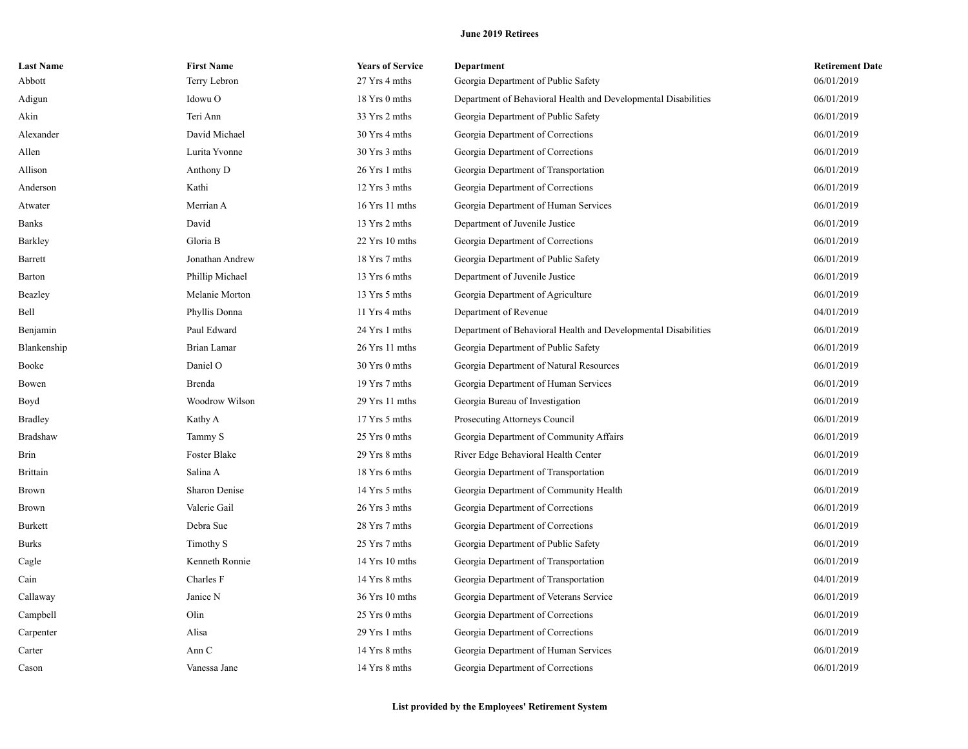| <b>Last Name</b> | <b>First Name</b> | <b>Years of Service</b> | <b>Department</b>                                              | <b>Retirement Date</b> |
|------------------|-------------------|-------------------------|----------------------------------------------------------------|------------------------|
| Abbott           | Terry Lebron      | 27 Yrs 4 mths           | Georgia Department of Public Safety                            | 06/01/2019             |
| Adigun           | Idowu O           | 18 Yrs 0 mths           | Department of Behavioral Health and Developmental Disabilities | 06/01/2019             |
| Akin             | Teri Ann          | 33 Yrs 2 mths           | Georgia Department of Public Safety                            | 06/01/2019             |
| Alexander        | David Michael     | 30 Yrs 4 mths           | Georgia Department of Corrections                              | 06/01/2019             |
| Allen            | Lurita Yvonne     | 30 Yrs 3 mths           | Georgia Department of Corrections                              | 06/01/2019             |
| Allison          | Anthony D         | 26 Yrs 1 mths           | Georgia Department of Transportation                           | 06/01/2019             |
| Anderson         | Kathi             | 12 Yrs 3 mths           | Georgia Department of Corrections                              | 06/01/2019             |
| Atwater          | Merrian A         | 16 Yrs 11 mths          | Georgia Department of Human Services                           | 06/01/2019             |
| Banks            | David             | 13 Yrs 2 mths           | Department of Juvenile Justice                                 | 06/01/2019             |
| Barkley          | Gloria B          | 22 Yrs 10 mths          | Georgia Department of Corrections                              | 06/01/2019             |
| Barrett          | Jonathan Andrew   | 18 Yrs 7 mths           | Georgia Department of Public Safety                            | 06/01/2019             |
| <b>Barton</b>    | Phillip Michael   | 13 Yrs 6 mths           | Department of Juvenile Justice                                 | 06/01/2019             |
| Beazley          | Melanie Morton    | 13 Yrs 5 mths           | Georgia Department of Agriculture                              | 06/01/2019             |
| Bell             | Phyllis Donna     | 11 Yrs 4 mths           | Department of Revenue                                          | 04/01/2019             |
| Benjamin         | Paul Edward       | 24 Yrs 1 mths           | Department of Behavioral Health and Developmental Disabilities | 06/01/2019             |
| Blankenship      | Brian Lamar       | 26 Yrs 11 mths          | Georgia Department of Public Safety                            | 06/01/2019             |
| Booke            | Daniel O          | 30 Yrs 0 mths           | Georgia Department of Natural Resources                        | 06/01/2019             |
| Bowen            | Brenda            | 19 Yrs 7 mths           | Georgia Department of Human Services                           | 06/01/2019             |
| Boyd             | Woodrow Wilson    | 29 Yrs 11 mths          | Georgia Bureau of Investigation                                | 06/01/2019             |
| <b>Bradley</b>   | Kathy A           | 17 Yrs 5 mths           | Prosecuting Attorneys Council                                  | 06/01/2019             |
| Bradshaw         | Tammy S           | 25 Yrs 0 mths           | Georgia Department of Community Affairs                        | 06/01/2019             |
| <b>Brin</b>      | Foster Blake      | 29 Yrs 8 mths           | River Edge Behavioral Health Center                            | 06/01/2019             |
| <b>Brittain</b>  | Salina A          | 18 Yrs 6 mths           | Georgia Department of Transportation                           | 06/01/2019             |
| <b>Brown</b>     | Sharon Denise     | 14 Yrs 5 mths           | Georgia Department of Community Health                         | 06/01/2019             |
| Brown            | Valerie Gail      | 26 Yrs 3 mths           | Georgia Department of Corrections                              | 06/01/2019             |
| Burkett          | Debra Sue         | 28 Yrs 7 mths           | Georgia Department of Corrections                              | 06/01/2019             |
| <b>Burks</b>     | Timothy S         | 25 Yrs 7 mths           | Georgia Department of Public Safety                            | 06/01/2019             |
| Cagle            | Kenneth Ronnie    | 14 Yrs 10 mths          | Georgia Department of Transportation                           | 06/01/2019             |
| Cain             | Charles F         | 14 Yrs 8 mths           | Georgia Department of Transportation                           | 04/01/2019             |
| Callaway         | Janice N          | 36 Yrs 10 mths          | Georgia Department of Veterans Service                         | 06/01/2019             |
| Campbell         | Olin              | 25 Yrs 0 mths           | Georgia Department of Corrections                              | 06/01/2019             |
| Carpenter        | Alisa             | 29 Yrs 1 mths           | Georgia Department of Corrections                              | 06/01/2019             |
| Carter           | Ann C             | 14 Yrs 8 mths           | Georgia Department of Human Services                           | 06/01/2019             |
| Cason            | Vanessa Jane      | 14 Yrs 8 mths           | Georgia Department of Corrections                              | 06/01/2019             |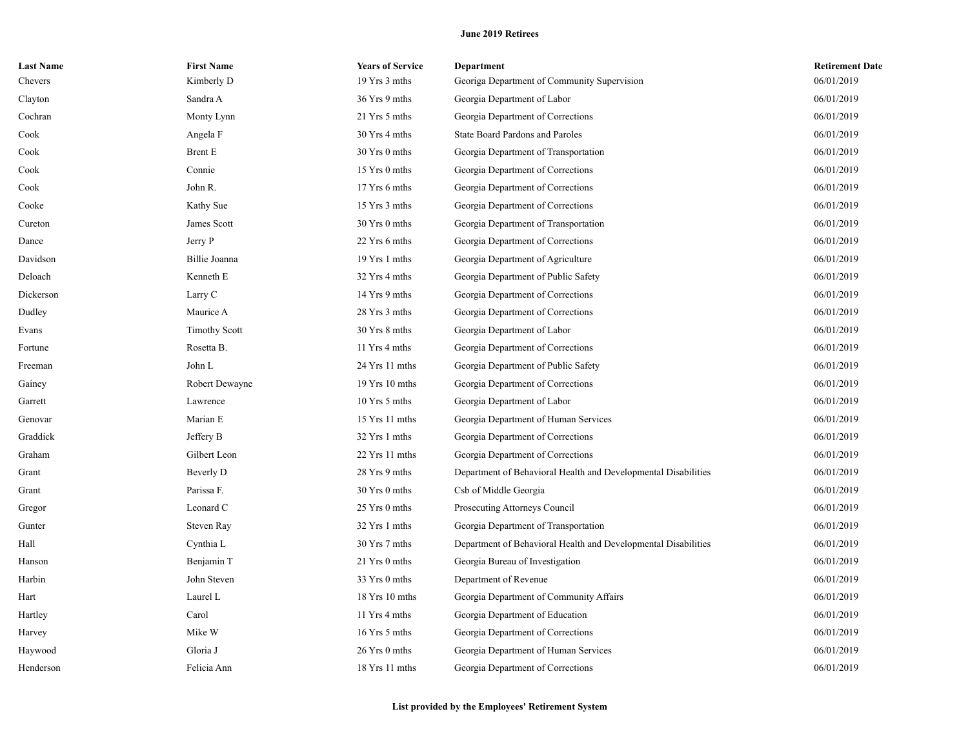| <b>Last Name</b> | <b>First Name</b>    | <b>Years of Service</b> | <b>Department</b>                                              | <b>Retirement Date</b> |
|------------------|----------------------|-------------------------|----------------------------------------------------------------|------------------------|
| Chevers          | Kimberly D           | 19 Yrs 3 mths           | Georiga Department of Community Supervision                    | 06/01/2019             |
| Clayton          | Sandra A             | 36 Yrs 9 mths           | Georgia Department of Labor                                    | 06/01/2019             |
| Cochran          | Monty Lynn           | 21 Yrs 5 mths           | Georgia Department of Corrections                              | 06/01/2019             |
| Cook             | Angela F             | 30 Yrs 4 mths           | State Board Pardons and Paroles                                | 06/01/2019             |
| Cook             | <b>Brent E</b>       | 30 Yrs 0 mths           | Georgia Department of Transportation                           | 06/01/2019             |
| Cook             | Connie               | 15 Yrs 0 mths           | Georgia Department of Corrections                              | 06/01/2019             |
| Cook             | John R.              | 17 Yrs 6 mths           | Georgia Department of Corrections                              | 06/01/2019             |
| Cooke            | Kathy Sue            | 15 Yrs 3 mths           | Georgia Department of Corrections                              | 06/01/2019             |
| Cureton          | James Scott          | 30 Yrs 0 mths           | Georgia Department of Transportation                           | 06/01/2019             |
| Dance            | Jerry P              | 22 Yrs 6 mths           | Georgia Department of Corrections                              | 06/01/2019             |
| Davidson         | Billie Joanna        | 19 Yrs 1 mths           | Georgia Department of Agriculture                              | 06/01/2019             |
| Deloach          | Kenneth E            | 32 Yrs 4 mths           | Georgia Department of Public Safety                            | 06/01/2019             |
| Dickerson        | Larry C              | 14 Yrs 9 mths           | Georgia Department of Corrections                              | 06/01/2019             |
| Dudley           | Maurice A            | 28 Yrs 3 mths           | Georgia Department of Corrections                              | 06/01/2019             |
| Evans            | <b>Timothy Scott</b> | 30 Yrs 8 mths           | Georgia Department of Labor                                    | 06/01/2019             |
| Fortune          | Rosetta B.           | 11 Yrs 4 mths           | Georgia Department of Corrections                              | 06/01/2019             |
| Freeman          | John L               | 24 Yrs 11 mths          | Georgia Department of Public Safety                            | 06/01/2019             |
| Gainey           | Robert Dewayne       | $19$ Yrs $10$ mths      | Georgia Department of Corrections                              | 06/01/2019             |
| Garrett          | Lawrence             | 10 Yrs 5 mths           | Georgia Department of Labor                                    | 06/01/2019             |
| Genovar          | Marian E             | 15 Yrs 11 mths          | Georgia Department of Human Services                           | 06/01/2019             |
| Graddick         | Jeffery B            | 32 Yrs 1 mths           | Georgia Department of Corrections                              | 06/01/2019             |
| Graham           | Gilbert Leon         | 22 Yrs 11 mths          | Georgia Department of Corrections                              | 06/01/2019             |
| Grant            | Beverly D            | 28 Yrs 9 mths           | Department of Behavioral Health and Developmental Disabilities | 06/01/2019             |
| Grant            | Parissa F.           | 30 Yrs 0 mths           | Csb of Middle Georgia                                          | 06/01/2019             |
| Gregor           | Leonard C            | 25 Yrs 0 mths           | Prosecuting Attorneys Council                                  | 06/01/2019             |
| Gunter           | Steven Ray           | 32 Yrs 1 mths           | Georgia Department of Transportation                           | 06/01/2019             |
| Hall             | Cynthia L            | 30 Yrs 7 mths           | Department of Behavioral Health and Developmental Disabilities | 06/01/2019             |
| Hanson           | Benjamin T           | 21 Yrs 0 mths           | Georgia Bureau of Investigation                                | 06/01/2019             |
| Harbin           | John Steven          | 33 Yrs 0 mths           | Department of Revenue                                          | 06/01/2019             |
| Hart             | Laurel L             | 18 Yrs 10 mths          | Georgia Department of Community Affairs                        | 06/01/2019             |
| Hartley          | Carol                | 11 Yrs 4 mths           | Georgia Department of Education                                | 06/01/2019             |
| Harvey           | Mike W               | 16 Yrs 5 mths           | Georgia Department of Corrections                              | 06/01/2019             |
| Haywood          | Gloria J             | 26 Yrs 0 mths           | Georgia Department of Human Services                           | 06/01/2019             |
| Henderson        | Felicia Ann          | 18 Yrs 11 mths          | Georgia Department of Corrections                              | 06/01/2019             |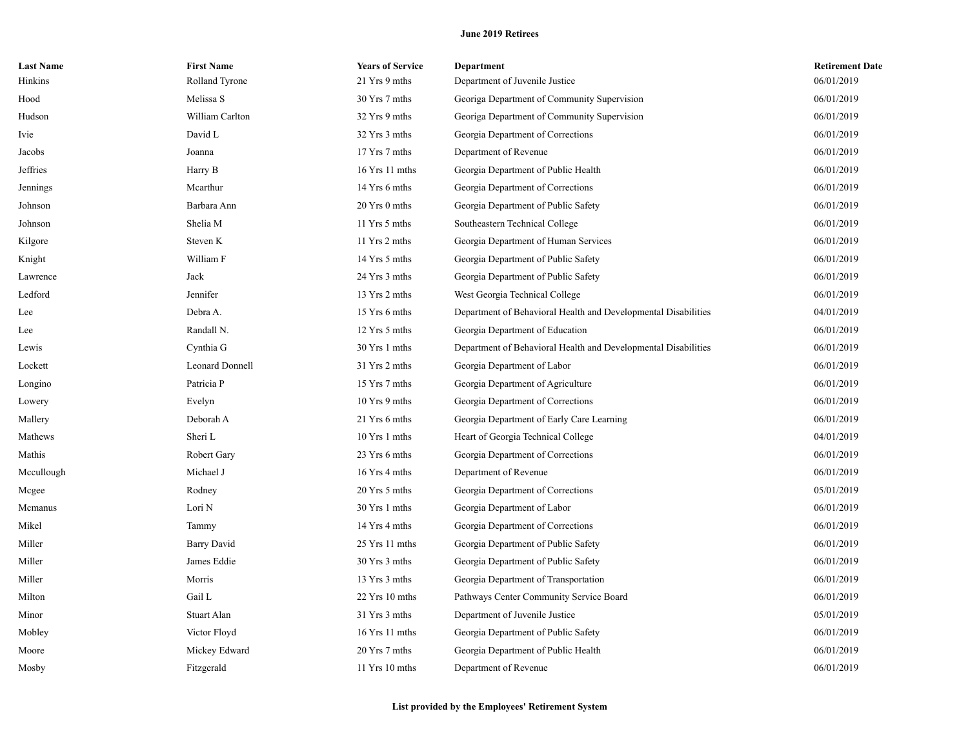| <b>Last Name</b> | <b>First Name</b>  | <b>Years of Service</b> | <b>Department</b>                                              | <b>Retirement Date</b> |
|------------------|--------------------|-------------------------|----------------------------------------------------------------|------------------------|
| Hinkins          | Rolland Tyrone     | 21 Yrs 9 mths           | Department of Juvenile Justice                                 | 06/01/2019             |
| Hood             | Melissa S          | 30 Yrs 7 mths           | Georiga Department of Community Supervision                    | 06/01/2019             |
| Hudson           | William Carlton    | 32 Yrs 9 mths           | Georiga Department of Community Supervision                    | 06/01/2019             |
| Ivie             | David L            | 32 Yrs 3 mths           | Georgia Department of Corrections                              | 06/01/2019             |
| Jacobs           | Joanna             | 17 Yrs 7 mths           | Department of Revenue                                          | 06/01/2019             |
| Jeffries         | Harry B            | 16 Yrs 11 mths          | Georgia Department of Public Health                            | 06/01/2019             |
| Jennings         | Mcarthur           | 14 Yrs 6 mths           | Georgia Department of Corrections                              | 06/01/2019             |
| Johnson          | Barbara Ann        | 20 Yrs 0 mths           | Georgia Department of Public Safety                            | 06/01/2019             |
| Johnson          | Shelia M           | 11 Yrs 5 mths           | Southeastern Technical College                                 | 06/01/2019             |
| Kilgore          | Steven K           | 11 Yrs 2 mths           | Georgia Department of Human Services                           | 06/01/2019             |
| Knight           | William F          | 14 Yrs 5 mths           | Georgia Department of Public Safety                            | 06/01/2019             |
| Lawrence         | Jack               | 24 Yrs 3 mths           | Georgia Department of Public Safety                            | 06/01/2019             |
| Ledford          | Jennifer           | 13 Yrs 2 mths           | West Georgia Technical College                                 | 06/01/2019             |
| Lee              | Debra A.           | 15 Yrs 6 mths           | Department of Behavioral Health and Developmental Disabilities | 04/01/2019             |
| Lee              | Randall N.         | 12 Yrs 5 mths           | Georgia Department of Education                                | 06/01/2019             |
| Lewis            | Cynthia G          | 30 Yrs 1 mths           | Department of Behavioral Health and Developmental Disabilities | 06/01/2019             |
| Lockett          | Leonard Donnell    | 31 Yrs 2 mths           | Georgia Department of Labor                                    | 06/01/2019             |
| Longino          | Patricia P         | 15 Yrs 7 mths           | Georgia Department of Agriculture                              | 06/01/2019             |
| Lowery           | Evelyn             | 10 Yrs 9 mths           | Georgia Department of Corrections                              | 06/01/2019             |
| Mallery          | Deborah A          | 21 Yrs 6 mths           | Georgia Department of Early Care Learning                      | 06/01/2019             |
| Mathews          | Sheri L            | 10 Yrs 1 mths           | Heart of Georgia Technical College                             | 04/01/2019             |
| Mathis           | Robert Gary        | 23 Yrs 6 mths           | Georgia Department of Corrections                              | 06/01/2019             |
| Mccullough       | Michael J          | 16 Yrs 4 mths           | Department of Revenue                                          | 06/01/2019             |
| Mcgee            | Rodney             | 20 Yrs 5 mths           | Georgia Department of Corrections                              | 05/01/2019             |
| Mcmanus          | Lori N             | 30 Yrs 1 mths           | Georgia Department of Labor                                    | 06/01/2019             |
| Mikel            | Tammy              | 14 Yrs 4 mths           | Georgia Department of Corrections                              | 06/01/2019             |
| Miller           | <b>Barry David</b> | $25$ Yrs 11 mths        | Georgia Department of Public Safety                            | 06/01/2019             |
| Miller           | James Eddie        | 30 Yrs 3 mths           | Georgia Department of Public Safety                            | 06/01/2019             |
| Miller           | Morris             | 13 Yrs 3 mths           | Georgia Department of Transportation                           | 06/01/2019             |
| Milton           | Gail L             | 22 Yrs 10 mths          | Pathways Center Community Service Board                        | 06/01/2019             |
| Minor            | Stuart Alan        | 31 Yrs 3 mths           | Department of Juvenile Justice                                 | 05/01/2019             |
| Mobley           | Victor Floyd       | $16$ Yrs $11$ mths      | Georgia Department of Public Safety                            | 06/01/2019             |
| Moore            | Mickey Edward      | 20 Yrs 7 mths           | Georgia Department of Public Health                            | 06/01/2019             |
| Mosby            | Fitzgerald         | 11 Yrs 10 mths          | Department of Revenue                                          | 06/01/2019             |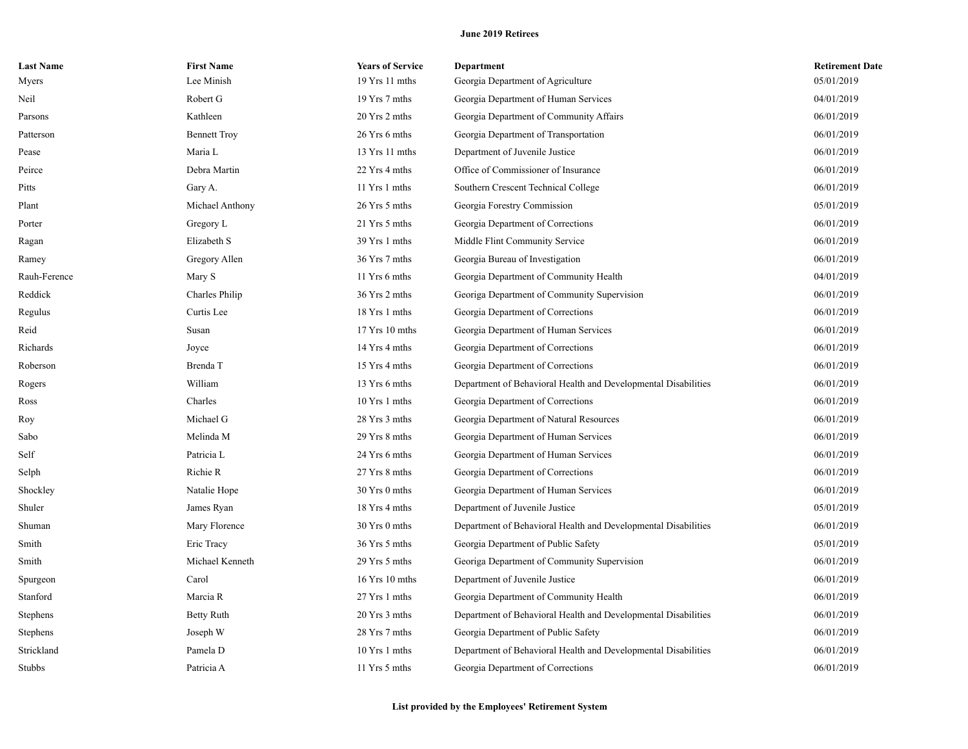| <b>Last Name</b> | <b>First Name</b>   | <b>Years of Service</b> | Department                                                     | <b>Retirement Date</b> |
|------------------|---------------------|-------------------------|----------------------------------------------------------------|------------------------|
| Myers            | Lee Minish          | 19 Yrs 11 mths          | Georgia Department of Agriculture                              | 05/01/2019             |
| Neil             | Robert G            | 19 Yrs 7 mths           | Georgia Department of Human Services                           | 04/01/2019             |
| Parsons          | Kathleen            | 20 Yrs 2 mths           | Georgia Department of Community Affairs                        | 06/01/2019             |
| Patterson        | <b>Bennett Troy</b> | 26 Yrs 6 mths           | Georgia Department of Transportation                           | 06/01/2019             |
| Pease            | Maria L             | $13$ Yrs $11$ mths      | Department of Juvenile Justice                                 | 06/01/2019             |
| Peirce           | Debra Martin        | 22 Yrs 4 mths           | Office of Commissioner of Insurance                            | 06/01/2019             |
| Pitts            | Gary A.             | 11 Yrs 1 mths           | Southern Crescent Technical College                            | 06/01/2019             |
| Plant            | Michael Anthony     | 26 Yrs 5 mths           | Georgia Forestry Commission                                    | 05/01/2019             |
| Porter           | Gregory L           | 21 Yrs 5 mths           | Georgia Department of Corrections                              | 06/01/2019             |
| Ragan            | Elizabeth S         | 39 Yrs 1 mths           | Middle Flint Community Service                                 | 06/01/2019             |
| Ramey            | Gregory Allen       | 36 Yrs 7 mths           | Georgia Bureau of Investigation                                | 06/01/2019             |
| Rauh-Ference     | Mary S              | 11 Yrs 6 mths           | Georgia Department of Community Health                         | 04/01/2019             |
| Reddick          | Charles Philip      | 36 Yrs 2 mths           | Georiga Department of Community Supervision                    | 06/01/2019             |
| Regulus          | Curtis Lee          | 18 Yrs 1 mths           | Georgia Department of Corrections                              | 06/01/2019             |
| Reid             | Susan               | 17 Yrs 10 mths          | Georgia Department of Human Services                           | 06/01/2019             |
| Richards         | Joyce               | 14 Yrs 4 mths           | Georgia Department of Corrections                              | 06/01/2019             |
| Roberson         | Brenda T            | 15 Yrs 4 mths           | Georgia Department of Corrections                              | 06/01/2019             |
| Rogers           | William             | 13 Yrs 6 mths           | Department of Behavioral Health and Developmental Disabilities | 06/01/2019             |
| Ross             | Charles             | $10$ Yrs 1 mths         | Georgia Department of Corrections                              | 06/01/2019             |
| Roy              | Michael G           | 28 Yrs 3 mths           | Georgia Department of Natural Resources                        | 06/01/2019             |
| Sabo             | Melinda M           | 29 Yrs 8 mths           | Georgia Department of Human Services                           | 06/01/2019             |
| Self             | Patricia L          | 24 Yrs 6 mths           | Georgia Department of Human Services                           | 06/01/2019             |
| Selph            | Richie R            | 27 Yrs 8 mths           | Georgia Department of Corrections                              | 06/01/2019             |
| Shockley         | Natalie Hope        | 30 Yrs 0 mths           | Georgia Department of Human Services                           | 06/01/2019             |
| Shuler           | James Ryan          | 18 Yrs 4 mths           | Department of Juvenile Justice                                 | 05/01/2019             |
| Shuman           | Mary Florence       | 30 Yrs 0 mths           | Department of Behavioral Health and Developmental Disabilities | 06/01/2019             |
| Smith            | Eric Tracy          | 36 Yrs 5 mths           | Georgia Department of Public Safety                            | 05/01/2019             |
| Smith            | Michael Kenneth     | 29 Yrs 5 mths           | Georiga Department of Community Supervision                    | 06/01/2019             |
| Spurgeon         | Carol               | 16 Yrs 10 mths          | Department of Juvenile Justice                                 | 06/01/2019             |
| Stanford         | Marcia R            | 27 Yrs 1 mths           | Georgia Department of Community Health                         | 06/01/2019             |
| Stephens         | <b>Betty Ruth</b>   | 20 Yrs 3 mths           | Department of Behavioral Health and Developmental Disabilities | 06/01/2019             |
| Stephens         | Joseph W            | 28 Yrs 7 mths           | Georgia Department of Public Safety                            | 06/01/2019             |
| Strickland       | Pamela D            | 10 Yrs 1 mths           | Department of Behavioral Health and Developmental Disabilities | 06/01/2019             |
| <b>Stubbs</b>    | Patricia A          | 11 Yrs 5 mths           | Georgia Department of Corrections                              | 06/01/2019             |